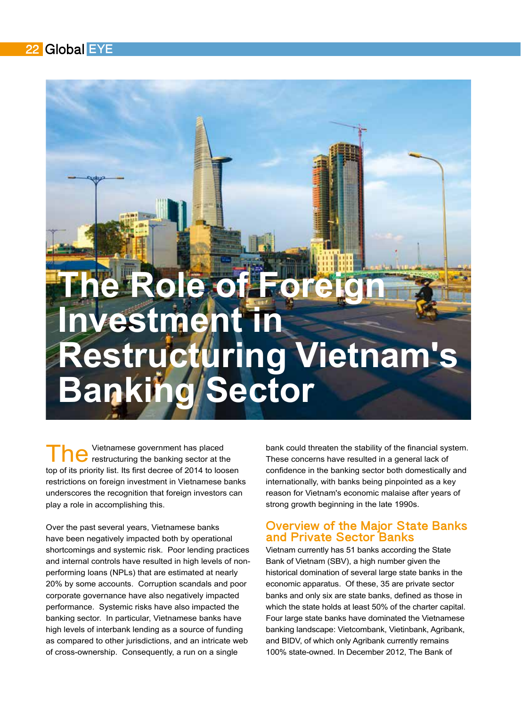# **Role of For Investment\$in\$ Restructuring Vietnam's<br>Banking Sector** *d* Sector

Vietnamese government has placed restructuring the banking sector at the top of its priority list. Its first decree of 2014 to loosen restrictions on foreign investment in Vietnamese banks underscores the recognition that foreign investors can play a role in accomplishing this.

Over the past several years, Vietnamese banks have been negatively impacted both by operational shortcomings and systemic risk. Poor lending practices and internal controls have resulted in high levels of nonperforming loans (NPLs) that are estimated at nearly 20% by some accounts. Corruption scandals and poor corporate governance have also negatively impacted performance. Systemic risks have also impacted the banking sector. In particular, Vietnamese banks have high levels of interbank lending as a source of funding as compared to other jurisdictions, and an intricate web of cross-ownership. Consequently, a run on a single

bank could threaten the stability of the financial system. These concerns have resulted in a general lack of confidence in the banking sector both domestically and internationally, with banks being pinpointed as a key reason for Vietnam's economic malaise after years of strong growth beginning in the late 1990s.

### Overview of the Major State Banks and Private Sector Banks

Vietnam currently has 51 banks according the State Bank of Vietnam (SBV), a high number given the historical domination of several large state banks in the economic apparatus. Of these, 35 are private sector banks and only six are state banks, defined as those in which the state holds at least 50% of the charter capital. Four large state banks have dominated the Vietnamese banking landscape: Vietcombank, Vietinbank, Agribank, and BIDV, of which only Agribank currently remains 100% state-owned. In December 2012. The Bank of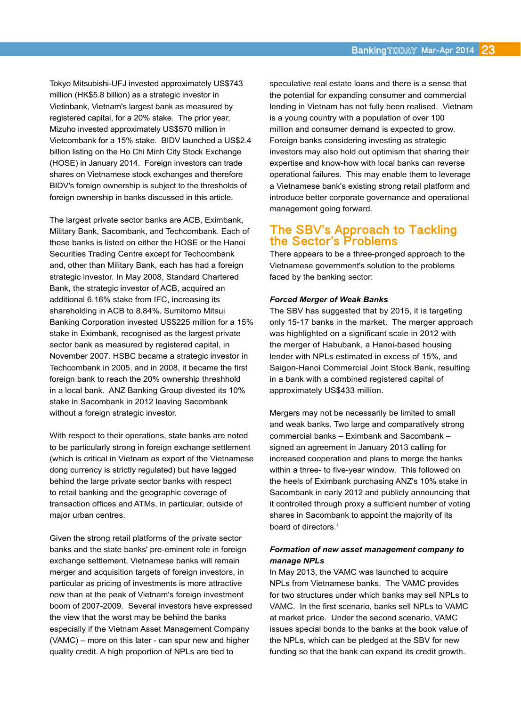Tokyo Mitsubishi-UFJ invested approximately US\$743 million (HK\$5.8 billion) as a strategic investor in Vietinbank, Vietnam's largest bank as measured by registered capital, for a 20% stake. The prior year, Mizuho invested approximately US\$570 million in Vietcombank for a 15% stake. BIDV launched a US\$2.4 billion listing on the Ho Chi Minh City Stock Exchange (HOSE) in January 2014. Foreign investors can trade shares on Vietnamese stock exchanges and therefore BIDV's foreign ownership is subject to the thresholds of foreign ownership in banks discussed in this article.

The largest private sector banks are ACB, Eximbank, Military Bank, Sacombank, and Techcombank. Each of these banks is listed on either the HOSE or the Hanoi Securities Trading Centre except for Techcombank and, other than Military Bank, each has had a foreign strategic investor. In May 2008, Standard Chartered Bank, the strategic investor of ACB, acquired an additional 6.16% stake from IFC, increasing its shareholding in ACB to 8.84%. Sumitomo Mitsui Banking Corporation invested US\$225 million for a 15% stake in Eximbank, recognised as the largest private sector bank as measured by registered capital, in November 2007. HSBC became a strategic investor in Techcombank in 2005, and in 2008, it became the first foreign bank to reach the 20% ownership threshhold in a local bank. ANZ Banking Group divested its 10% stake in Sacombank in 2012 leaving Sacombank without a foreign strategic investor.

With respect to their operations, state banks are noted to be particularly strong in foreign exchange settlement (which is critical in Vietnam as export of the Vietnamese dong currency is strictly regulated) but have lagged behind the large private sector banks with respect to retail banking and the geographic coverage of transaction offices and ATMs, in particular, outside of major urban centres.

Given the strong retail platforms of the private sector banks and the state banks' pre-eminent role in foreign exchange settlement, Vietnamese banks will remain merger and acquisition targets of foreign investors, in particular as pricing of investments is more attractive now than at the peak of Vietnam's foreign investment boom of 2007-2009. Several investors have expressed the view that the worst may be behind the banks especially if the Vietnam Asset Management Company  $(VAMC)$  – more on this later - can spur new and higher quality credit. A high proportion of NPLs are tied to

speculative real estate loans and there is a sense that the potential for expanding consumer and commercial lending in Vietnam has not fully been realised. Vietnam is a young country with a population of over  $100$ million and consumer demand is expected to grow. Foreign banks considering investing as strategic investors may also hold out optimism that sharing their expertise and know-how with local banks can reverse operational failures. This may enable them to leverage a Vietnamese bank's existing strong retail platform and introduce better corporate governance and operational management going forward.

### The SBV's Approach to Tackling the Sector's Problems

There appears to be a three-pronged approach to the Vietnamese government's solution to the problems faced by the banking sector:

### *Forced Merger of Weak Banks*

The SBV has suggested that by 2015, it is targeting only 15-17 banks in the market. The merger approach was highlighted on a significant scale in 2012 with the merger of Habubank, a Hanoi-based housing lender with NPLs estimated in excess of 15%, and Saigon-Hanoi Commercial Joint Stock Bank, resulting in a bank with a combined registered capital of approximately US\$433 million.

Mergers may not be necessarily be limited to small and weak banks. Two large and comparatively strong commercial banks – Eximbank and Sacombank – signed an agreement in January 2013 calling for increased cooperation and plans to merge the banks within a three- to five-year window. This followed on the heels of Eximbank purchasing ANZ's 10% stake in Sacombank in early 2012 and publicly announcing that it controlled through proxy a sufficient number of voting shares in Sacombank to appoint the majority of its board of directors.<sup>1</sup>

### *Formation'of'new'asset'management'company'to' manage'NPLs*

In May 2013, the VAMC was launched to acquire NPLs from Vietnamese banks. The VAMC provides for two structures under which banks may sell NPLs to VAMC. In the first scenario, banks sell NPLs to VAMC at market price. Under the second scenario, VAMC issues special bonds to the banks at the book value of the NPLs, which can be pledged at the SBV for new funding so that the bank can expand its credit growth.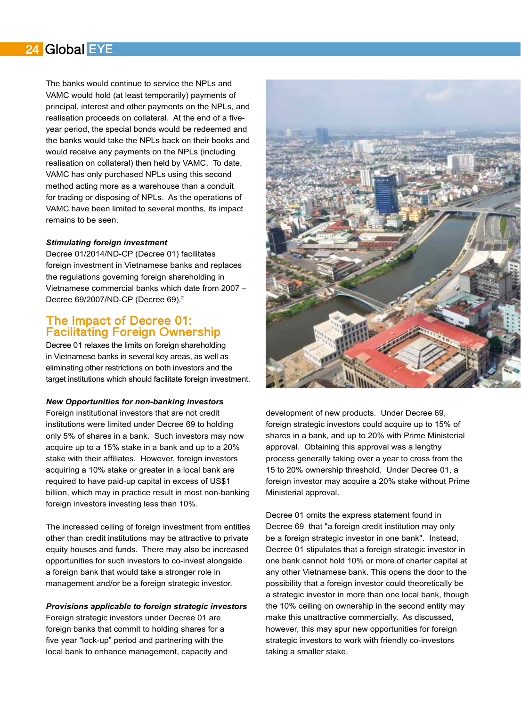### 24 Global EYE

The banks would continue to service the NPLs and VAMC would hold (at least temporarily) payments of principal, interest and other payments on the NPLs, and realisation proceeds on collateral. At the end of a fiveyear period, the special bonds would be redeemed and the banks would take the NPLs back on their books and would receive any payments on the NPLs (including realisation on collateral) then held by VAMC. To date, VAMC has only purchased NPLs using this second method acting more as a warehouse than a conduit for trading or disposing of NPLs. As the operations of VAMC have been limited to several months, its impact remains to be seen.

### *Stimulating'foreign'investment*

Decree 01/2014/ND-CP (Decree 01) facilitates foreign investment in Vietnamese banks and replaces the regulations governing foreign shareholding in Vietnamese commercial banks which date from 2007 -Decree 69/2007/ND-CP (Decree 69).<sup>2</sup>

### The Impact of Decree 01: Facilitating Foreign Ownership

Decree 01 relaxes the limits on foreign shareholding in Vietnamese banks in several key areas, as well as eliminating other restrictions on both investors and the target institutions which should facilitate foreign investment.

### *New'Opportunities'for'non?banking'investors*

Foreign institutional investors that are not credit institutions were limited under Decree 69 to holding only 5% of shares in a bank. Such investors may now acquire up to a 15% stake in a bank and up to a 20% stake with their affiliates. However, foreign investors acquiring a 10% stake or greater in a local bank are required to have paid-up capital in excess of US\$1 billion, which may in practice result in most non-banking foreign investors investing less than 10%.

The increased ceiling of foreign investment from entities other than credit institutions may be attractive to private equity houses and funds. There may also be increased opportunities for such investors to co-invest alongside a foreign bank that would take a stronger role in management and/or be a foreign strategic investor.

### *Provisions'applicable'to'foreign'strategic'investors*

Foreign strategic investors under Decree 01 are foreign banks that commit to holding shares for a five year "lock-up" period and partnering with the local bank to enhance management, capacity and



development of new products. Under Decree 69, foreign strategic investors could acquire up to 15% of shares in a bank, and up to 20% with Prime Ministerial approval. Obtaining this approval was a lengthy process generally taking over a year to cross from the 15 to 20% ownership threshold. Under Decree 01, a foreign investor may acquire a 20% stake without Prime Ministerial approval.

Decree 01 omits the express statement found in Decree 69 that "a foreign credit institution may only be a foreign strategic investor in one bank". Instead, Decree 01 stipulates that a foreign strategic investor in one bank cannot hold 10% or more of charter capital at any other Vietnamese bank. This opens the door to the possibility that a foreign investor could theoretically be a strategic investor in more than one local bank, though the 10% ceiling on ownership in the second entity may make this unattractive commercially. As discussed, however, this may spur new opportunities for foreign strategic investors to work with friendly co-investors taking a smaller stake.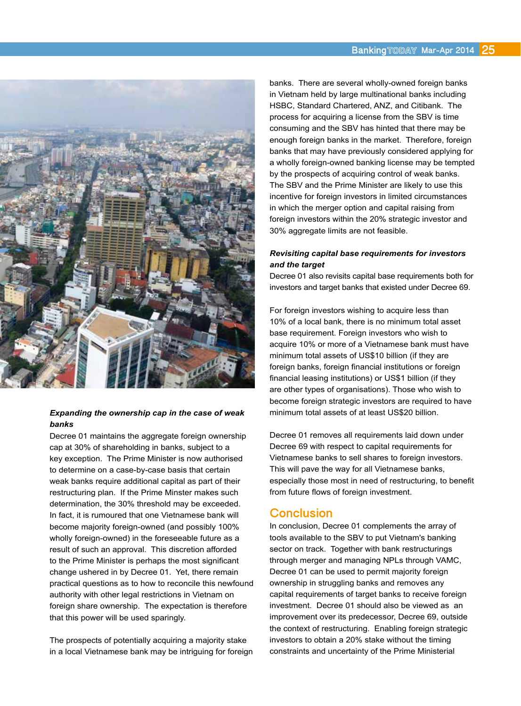

### *Expanding'the'ownership'cap'in'the'case'of'weak' banks*

Decree 01 maintains the aggregate foreign ownership cap at 30% of shareholding in banks, subject to a key exception. The Prime Minister is now authorised to determine on a case-by-case basis that certain weak banks require additional capital as part of their restructuring plan. If the Prime Minster makes such determination, the 30% threshold may be exceeded. In fact, it is rumoured that one Vietnamese bank will become majority foreign-owned (and possibly 100% wholly foreign-owned) in the foreseeable future as a result of such an approval. This discretion afforded to the Prime Minister is perhaps the most significant change ushered in by Decree 01. Yet, there remain practical questions as to how to reconcile this newfound authority with other legal restrictions in Vietnam on foreign share ownership. The expectation is therefore that this power will be used sparingly.

The prospects of potentially acquiring a majority stake in a local Vietnamese bank may be intriguing for foreign banks. There are several wholly-owned foreign banks in Vietnam held by large multinational banks including HSBC, Standard Chartered, ANZ, and Citibank. The process for acquiring a license from the SBV is time consuming and the SBV has hinted that there may be enough foreign banks in the market. Therefore, foreign banks that may have previously considered applying for a wholly foreign-owned banking license may be tempted by the prospects of acquiring control of weak banks. The SBV and the Prime Minister are likely to use this incentive for foreign investors in limited circumstances in which the merger option and capital raising from foreign investors within the 20% strategic investor and 30% aggregate limits are not feasible.

### *Revisiting'capital'base'requirements'for'investors'* and the target

Decree 01 also revisits capital base requirements both for investors and target banks that existed under Decree 69.

For foreign investors wishing to acquire less than 10% of a local bank, there is no minimum total asset base requirement. Foreign investors who wish to acquire 10% or more of a Vietnamese bank must have minimum total assets of US\$10 billion (if they are foreign banks, foreign financial institutions or foreign financial leasing institutions) or US\$1 billion (if they are other types of organisations). Those who wish to become foreign strategic investors are required to have minimum total assets of at least US\$20 billion.

Decree 01 removes all requirements laid down under Decree 69 with respect to capital requirements for Vietnamese banks to sell shares to foreign investors. This will pave the way for all Vietnamese banks, especially those most in need of restructuring, to benefit from future flows of foreign investment.

### **Conclusion**

In conclusion, Decree 01 complements the array of tools available to the SBV to put Vietnam's banking sector on track. Together with bank restructurings through merger and managing NPLs through VAMC, Decree 01 can be used to permit majority foreign ownership in struggling banks and removes any capital requirements of target banks to receive foreign investment. Decree 01 should also be viewed as an improvement over its predecessor, Decree 69, outside the context of restructuring. Enabling foreign strategic investors to obtain a 20% stake without the timing constraints and uncertainty of the Prime Ministerial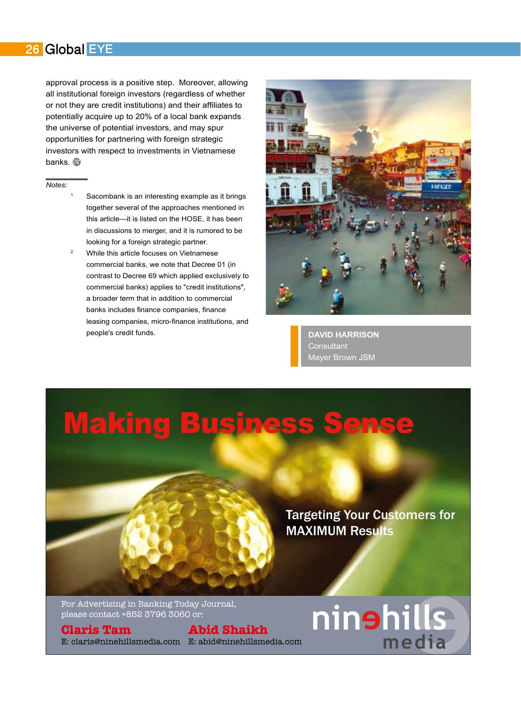### 26 Global EYE

approval process is a positive step. Moreover, allowing all institutional foreign investors (regardless of whether or not they are credit institutions) and their affiliates to potentially acquire up to 20% of a local bank expands the universe of potential investors, and may spur opportunities for partnering with foreign strategic investors with respect to investments in Vietnamese banks. s

### *Notes:*

- Sacombank is an interesting example as it brings together several of the approaches mentioned in this article—it is listed on the HOSE, it has been in discussions to merger, and it is rumored to be looking for a foreign strategic partner.
- While this article focuses on Vietnamese commercial banks, we note that Decree 01 (in contrast to Decree 69 which applied exclusively to commercial banks) applies to "credit institutions". a broader term that in addition to commercial banks includes finance companies, finance leasing companies, micro-finance institutions, and people's credit funds.



**DAVID\$HARRISON** Consultant Mayer Brown JSM

## **Making Business**

Targeting Your Customers for MAXIMUM Results

ninshills

medi

For Advertising in Banking Today Journal, please contact +852 3796 3060 or:

**Claris Tam** E: claris@ninehillsmedia.com E: abid@ninehillsmedia.com

**Abid Shaikh**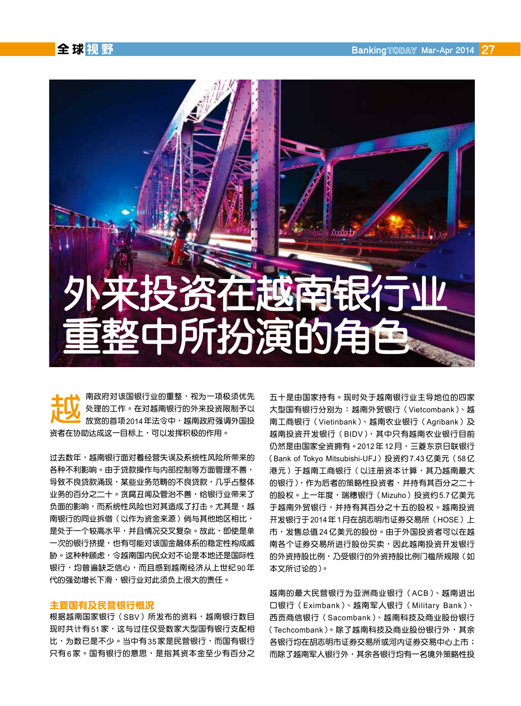

ᩡᎺᐯኢᲯᜥ᷂ჿᬦፇᔏᾴඩᩄᑷཁᬫ᪠₢ၹ 处理的工作。在对越南银行的外来投资限制予以 放宽的首项2014年法令中,越南政府强调外国投 资者在协助达成这一目标上,可以发挥积极的作用。

过去数年,越南银行面对着经营失误及系统性风险所带来的 各种不利影响。由于贷款操作与内部控制等方面管理不善, 导致不良贷款涌现,某些业务范畴的不良贷款,几乎占整体 业务的百分之二十。贪腐丑闻及管治不善,给银行业带来了 负面的影响,而系统性风险也对其造成了打击。尤其是,越 南银行的同业拆借(以作为资金来源)倘与其他地区相比, 是处于一个较高水平,并且情况交叉复杂。故此,即使是单 一次的银行挤提,也有可能对该国金融体系的稳定性构成威 胁。这种种顾虑,令越南国内民众对不论是本地还是国际性 银行,均普遍缺乏信心,而且感到越南经济从上世纪90年 代的强劲增长下滑,银行业对此须负上很大的责任。

### 主要国有及民营银行概况

根据越南国家银行(SBV)所发布的资料,越南银行数目 现时共计有51家,这与过往仅受数家大型国有银行支配相 比, 为数已是不少。当中有35家是民营银行, 而国有银行 只有6家。国有银行的意思,是指其资本金至少有百分之 五十是由国家持有。现时处于越南银行业主导地位的四家 大型国有银行分别为: 越南外贸银行 (Vietcombank)、越 南工商银行(Vietinbank)、越南农业银行(Agribank)及 越南投资开发银行 (BIDV), 其中只有越南农业银行目前 仍然是由国家全资拥有。2012年12月,三菱东京日联银行 (Bank of Tokyo Mitsubishi-UFJ) 投资约7.43亿美元 (58亿 港元)于越南工商银行(以注册资本计算,其乃越南最大 的银行),作为后者的策略性投资者,并持有其百分之二十 的股权。上一年度,瑞穗银行(Mizuho)投资约5.7 亿美元 于越南外贸银行,并持有其百分之十五的股权。越南投资 开发银行于2014年1月在胡志明市证券交易所 (HOSE) 上 市,发售总值24亿美元的股份。由于外国投资者可以在越 南各个证券交易所进行股份买卖,因此越南投资开发银行 的外资持股比例,乃受银行的外资持股比例门槛所规限(如 本文所讨论的)。

越南的最大民营银行为亚洲商业银行 (ACB)、越南讲出 口银行 (Eximbank)、越南军人银行 (Military Bank)、 西贡商信银行 (Sacombank)、越南科技及商业股份银行 (Techcombank)。除了越南科技及商业股份银行外,其余 各银行均在胡志明市证券交易所或河内证券交易中心上市; 而除了越南军人银行外,其余各银行均有一名境外策略性投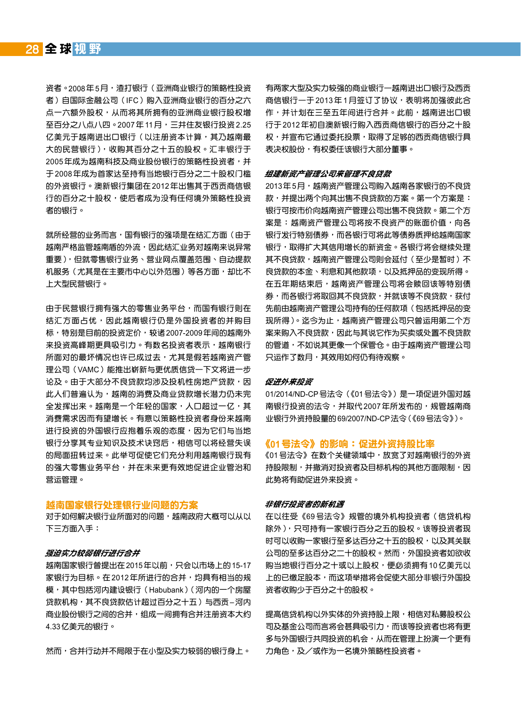资者。2008年5月,渣打银行(亚洲商业银行的策略性投资 者)自国际金融公司(IFC)购入亚洲商业银行的百分之六 点一六额外股权,从而将其所拥有的亚洲商业银行股权增  $\overline{2}$ 百分之八点八四。2007年11月,三井住友银行投资2.25 亿美元于越南进出口银行 ( 以注册资本计算, 其乃越南最 大的民营银行),收购其百分之十五的股权。汇丰银行于 2005年成为越南科技及商业股份银行的策略性投资者,并 于2008年成为首家达至持有当地银行百分之二十股权门槛 的外资银行。澳新银行集团在2012年出售其于西贡商信银 行的百分之十股权,使后者成为没有任何境外策略性投资 者的银行。

就所经营的业务而言,国有银行的强项是在结汇方面(由于 越南严格监管越南盾的外流,因此结汇业务对越南来说异常 重要),但就零售银行业务、营业网点覆盖范围、自动提款 机服务(尤其是在主要市中心以外范围)等各方面,却比不 上大型民营银行。

由于民营银行拥有强大的零售业务平台,而国有银行则在 结汇方面占优,因此越南银行仍是外国投资者的并购目 标,特别是目前的投资定价,较诸 2007-2009 年间的越南外 来投资高峰期更具吸引力。有数名投资者表示,越南银行 所面对的最坏情况也许已成过去,尤其是假若越南资产管 理公司 (VAMC) 能推出崭新与更优质信贷一下文将进一步 论及。由于大部分不良贷款均涉及投机性房地产贷款,因 此人们普遍认为,越南的消费及商业贷款增长潜力仍未完 全发挥出来。越南是一个年轻的国家,人口超过一亿,其 消费需求因而有望增长。有意以策略性投资者身份来越南 进行投资的外国银行应抱着乐观的态度,因为它们与当地 银行分享其专业知识及技术诀窍后,相信可以将经营失误 的局面扭转过来。此举可促使它们充分利用越南银行现有 的强大零售业务平台,并在未来更有效地促进企业管治和 营运管理。

### 越南国家银行处理银行业问题的方案

对于如何解决银行业所面对的问题,越南政府大概可以从以 下三方面入手:

### 强迫实力较弱银行进行合并

越南国家银行曾提出在2015年以前, 只会以市场上的15-17 家银行为目标。在2012年所进行的合并,均具有相当的规 模, 其中包括河内建设银行 (Habubank) (河内的一个房屋 贷款机构, 其不良贷款估计超过百分之十五) 与西贡-河内 商业股份银行之间的合并,组成一间拥有合并注册资本大约 4.33亿美元的银行。

然而,合并行动并不局限于在小型及实力较弱的银行身上。

有两家大型及实力较强的商业银行一越南进出口银行及西贡 商信银行一于2013年1月签订了协议,表明将加强彼此合 作,并计划在三至五年间进行合并。此前,越南进出口银 行于2012年初自澳新银行购入西贡商信银行的百分之十股 权,并宣布它通过委托投票,取得了足够的西贡商信银行具 表决权股份,有权委任该银行大部分董事。

### 组建新资产管理公司来管理不良贷款

2013年5月,越南资产管理公司购入越南各家银行的不良贷 款,并提出两个向其出售不良贷款的方案。第一个方案是: 银行可按市价向越南资产管理公司出售不良贷款。第二个方 案是:越南资产管理公司将按不良资产的账面价值,向各 银行发行特别债券,而各银行可将此等债券质押给越南国家 银行,取得扩大其信用增长的新资金。各银行将会继续处理 其不良贷款,越南资产管理公司则会延付(至少是暂时)不 良贷款的本金、利息和其他款项,以及抵押品的变现所得。 在五年期结束后,越南资产管理公司将会赎回该等特别债 券,而各银行将取回其不良贷款,并就该等不良贷款,获付 先前由越南资产管理公司持有的任何款项(包括抵押品的变 现所得)。迄今为止,越南资产管理公司只曾运用第二个方 案来购入不良贷款,因此与其说它作为买卖或处置不良贷款 的管道,不如说其更像一个保管仓。由于越南资产管理公司 只运作了数月,其效用如何仍有待观察。

### 促进外来投资

01/2014/ND-CP 号法令 (《01 号法令》) 是一项促进外国对越 南银行投资的法令,并取代2007年所发布的,规管越南商 业银行外资持股量的69/2007/ND-CP法令(《69号法令》)。

### 《01号法令》的影响:促进外资持股比率

《01 号法令》在数个关键领域中,放宽了对越南银行的外资 持股限制,并撤消对投资者及目标机构的其他方面限制,因 此势将有助促进外来投资。

### 非银行投资者的新机遇

在以往受《69号法令》规管的境外机构投资者(信贷机构 除外),只可持有一家银行百分之五的股权。该等投资者现 时可以收购一家银行至多达百分之十五的股权,以及其关联 公司的至多达百分之二十的股权。然而,外国投资者如欲收 购当地银行百分之十或以上股权,便必须拥有10亿美元以 上的已缴足股本,而这项举措将会促使大部分非银行外国投 资者收购少于百分之十的股权。

提高信贷机构以外实体的外资持股上限,相信对私募股权公 司及基金公司而言将会甚具吸引力,而该等投资者也将有更 多与外国银行共同投资的机会,从而在管理上扮演一个更有 力角色,及/或作为一名境外策略性投资者。